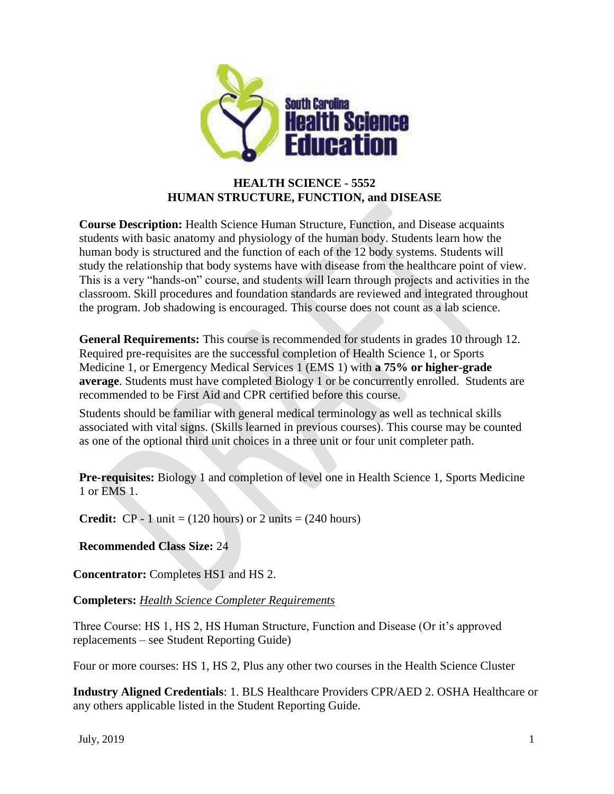

## **HEALTH SCIENCE - 5552 HUMAN STRUCTURE, FUNCTION, and DISEASE**

**Course Description:** Health Science Human Structure, Function, and Disease acquaints students with basic anatomy and physiology of the human body. Students learn how the human body is structured and the function of each of the 12 body systems. Students will study the relationship that body systems have with disease from the healthcare point of view. This is a very "hands-on" course, and students will learn through projects and activities in the classroom. Skill procedures and foundation standards are reviewed and integrated throughout the program. Job shadowing is encouraged. This course does not count as a lab science.

**General Requirements:** This course is recommended for students in grades 10 through 12. Required pre-requisites are the successful completion of Health Science 1, or Sports Medicine 1, or Emergency Medical Services 1 (EMS 1) with **a 75% or higher-grade average**. Students must have completed Biology 1 or be concurrently enrolled. Students are recommended to be First Aid and CPR certified before this course.

Students should be familiar with general medical terminology as well as technical skills associated with vital signs. (Skills learned in previous courses). This course may be counted as one of the optional third unit choices in a three unit or four unit completer path.

**Pre-requisites:** Biology 1 and completion of level one in Health Science 1, Sports Medicine 1 or EMS 1.

**Credit:** CP - 1 unit =  $(120 \text{ hours})$  or 2 units =  $(240 \text{ hours})$ 

**Recommended Class Size:** 24

**Concentrator:** Completes HS1 and HS 2.

**Completers:** *[Health Science Completer Requirements](https://ed.sc.gov/instruction/career-and-technology-education/programs-and-courses/career-clusters/health-science-education/three-unit-requirement/)*

Three Course: HS 1, HS 2, HS Human Structure, Function and Disease (Or it's approved replacements – see Student Reporting Guide)

Four or more courses: HS 1, HS 2, Plus any other two courses in the Health Science Cluster

**Industry Aligned Credentials**: 1. BLS Healthcare Providers CPR/AED 2. OSHA Healthcare or any others applicable listed in the Student Reporting Guide.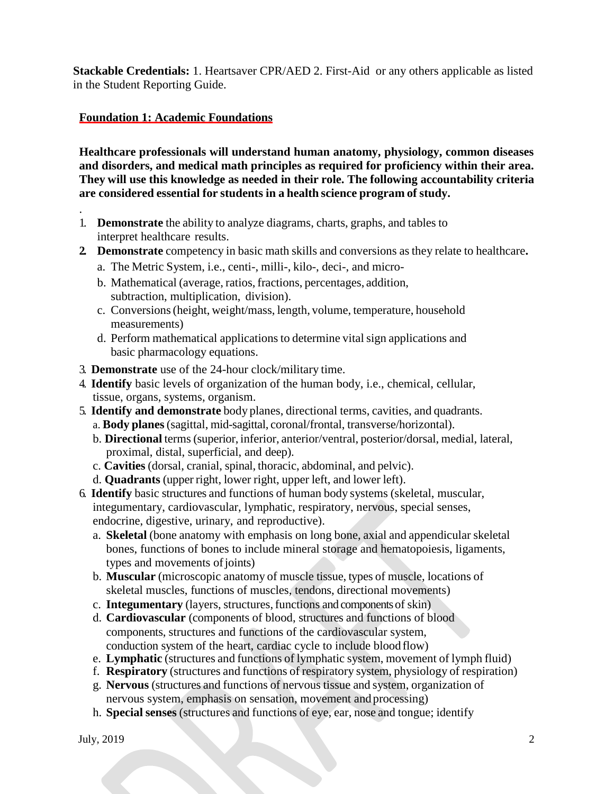**Stackable Credentials:** 1. Heartsaver CPR/AED 2. First-Aid or any others applicable as listed in the Student Reporting Guide.

### **Foundation 1: Academic Foundations**

**Healthcare professionals will understand human anatomy, physiology, common diseases and disorders, and medical math principles as required for proficiency within their area. They will use this knowledge as needed in their role. The following accountability criteria are considered essential for students in a health science program of study.**

- . 1. **Demonstrate** the ability to analyze diagrams, charts, graphs, and tables to interpret healthcare results.
- **2. Demonstrate** competency in basic math skills and conversions as they relate to healthcare**.**
	- a. The Metric System, i.e., centi-, milli-, kilo-, deci-, and micro-
	- b. Mathematical (average, ratios, fractions, percentages, addition, subtraction, multiplication, division).
	- c. Conversions(height, weight/mass, length, volume, temperature, household measurements)
	- d. Perform mathematical applications to determine vitalsign applications and basic pharmacology equations.
- 3. **Demonstrate** use of the 24-hour clock/military time.
- 4. **Identify** basic levels of organization of the human body, i.e., chemical, cellular, tissue, organs, systems, organism.
- 5. **Identify and demonstrate** body planes, directional terms, cavities, and quadrants. a. **Body planes**(sagittal, mid-sagittal, coronal/frontal, transverse/horizontal).
	- b. **Directional** terms(superior, inferior, anterior/ventral, posterior/dorsal, medial, lateral, proximal, distal, superficial, and deep).
	- c. **Cavities** (dorsal, cranial, spinal, thoracic, abdominal, and pelvic).
	- d. **Quadrants** (upper right, lower right, upper left, and lower left).
- 6. **Identify** basic structures and functions of human body systems (skeletal, muscular, integumentary, cardiovascular, lymphatic, respiratory, nervous, special senses, endocrine, digestive, urinary, and reproductive).
	- a. **Skeletal** (bone anatomy with emphasis on long bone, axial and appendicular skeletal bones, functions of bones to include mineral storage and hematopoiesis, ligaments, types and movements of joints)
	- b. **Muscular** (microscopic anatomy of muscle tissue, types of muscle, locations of skeletal muscles, functions of muscles, tendons, directional movements)
	- c. **Integumentary** (layers, structures,functions and componentsof skin)
	- d. **Cardiovascular** (components of blood, structures and functions of blood components, structures and functions of the cardiovascular system, conduction system of the heart, cardiac cycle to include blood flow)
	- e. **Lymphatic** (structures and functions of lymphatic system, movement of lymph fluid)
	- f. **Respiratory** (structures and functions of respiratory system, physiology of respiration)
	- g. **Nervous** (structures and functions of nervous tissue and system, organization of nervous system, emphasis on sensation, movement and processing)
	- h. **Special senses** (structures and functions of eye, ear, nose and tongue; identify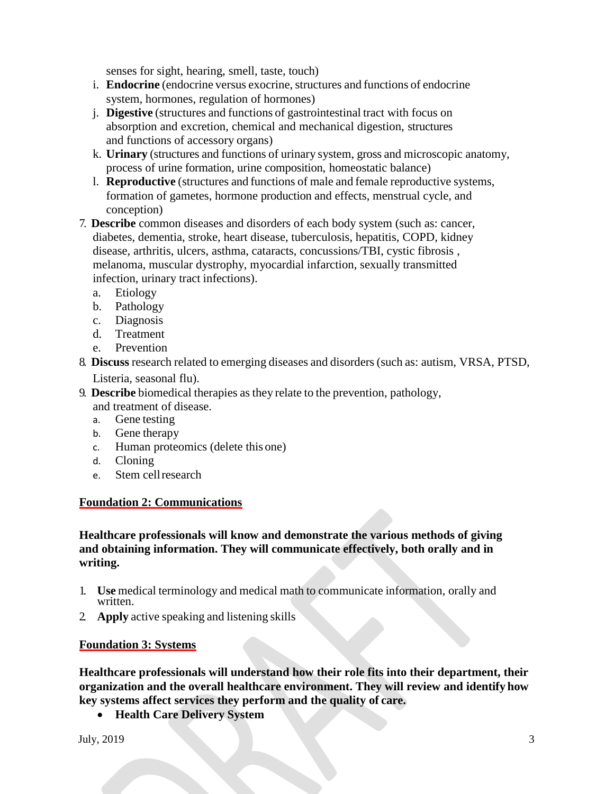senses for sight, hearing, smell, taste, touch)

- i. **Endocrine** (endocrine versus exocrine, structures and functions of endocrine system, hormones, regulation of hormones)
- j. **Digestive** (structures and functions of gastrointestinal tract with focus on absorption and excretion, chemical and mechanical digestion, structures and functions of accessory organs)
- k. **Urinary** (structures and functions of urinary system, gross and microscopic anatomy, process of urine formation, urine composition, homeostatic balance)
- l. **Reproductive** (structures and functions of male and female reproductive systems, formation of gametes, hormone production and effects, menstrual cycle, and conception)
- 7. **Describe** common diseases and disorders of each body system (such as: cancer, diabetes, dementia, stroke, heart disease, tuberculosis, hepatitis, COPD, kidney disease, arthritis, ulcers, asthma, cataracts, concussions/TBI, cystic fibrosis , melanoma, muscular dystrophy, myocardial infarction, sexually transmitted infection, urinary tract infections).
	- a. Etiology
	- b. Pathology
	- c. Diagnosis
	- d. Treatment
	- e. Prevention
- 8. **Discuss** research related to emerging diseases and disorders (such as: autism, VRSA, PTSD,

Listeria, seasonal flu).

- 9. **Describe** biomedical therapies as they relate to the prevention, pathology, and treatment of disease.
	- a. Gene testing
	- b. Gene therapy
	- c. Human proteomics (delete this one)
	- d. Cloning
	- e. Stem cellresearch

## **Foundation 2: Communications**

**Healthcare professionals will know and demonstrate the various methods of giving and obtaining information. They will communicate effectively, both orally and in writing.**

- 1. **Use** medical terminology and medical math to communicate information, orally and written.
- 2. **Apply** active speaking and listening skills

## **Foundation 3: Systems**

**Healthcare professionals will understand how their role fits into their department, their organization and the overall healthcare environment. They will review and identify how key systems affect services they perform and the quality of care.**

**Health Care Delivery System**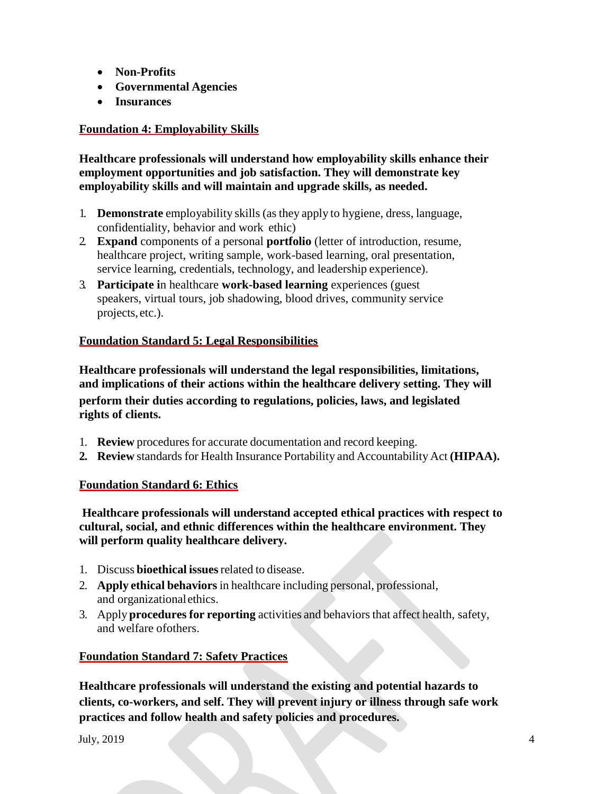- **Non-Profits**
- **Governmental Agencies**
- **Insurances**

## **Foundation 4: Employability Skills**

## **Healthcare professionals will understand how employability skills enhance their employment opportunities and job satisfaction. They will demonstrate key employability skills and will maintain and upgrade skills, as needed.**

- 1. **Demonstrate** employability skills (as they apply to hygiene, dress, language, confidentiality, behavior and work ethic)
- 2. **Expand** components of a personal **portfolio** (letter of introduction, resume, healthcare project, writing sample, work-based learning, oral presentation, service learning, credentials, technology, and leadership experience).
- 3. **Participate i**n healthcare **work-based learning** experiences (guest speakers, virtual tours, job shadowing, blood drives, community service projects, etc.).

# **Foundation Standard 5: Legal Responsibilities**

**Healthcare professionals will understand the legal responsibilities, limitations, and implications of their actions within the healthcare delivery setting. They will perform their duties according to regulations, policies, laws, and legislated rights of clients.**

- 1. **Review** proceduresfor accurate documentation and record keeping.
- 2. **Review** standards for Health Insurance Portability and Accountability Act (HIPAA).

## **Foundation Standard 6: Ethics**

**Healthcare professionals will understand accepted ethical practices with respect to cultural, social, and ethnic differences within the healthcare environment. They will perform quality healthcare delivery.**

- 1. Discuss **bioethical issues**related to disease.
- 2. **Apply ethical behaviors**in healthcare including personal, professional, and organizationalethics.
- 3. Apply **procedures for reporting** activities and behaviorsthat affect health, safety, and welfare ofothers.

# **Foundation Standard 7: Safety Practices**

**Healthcare professionals will understand the existing and potential hazards to clients, co-workers, and self. They will prevent injury or illness through safe work practices and follow health and safety policies and procedures.**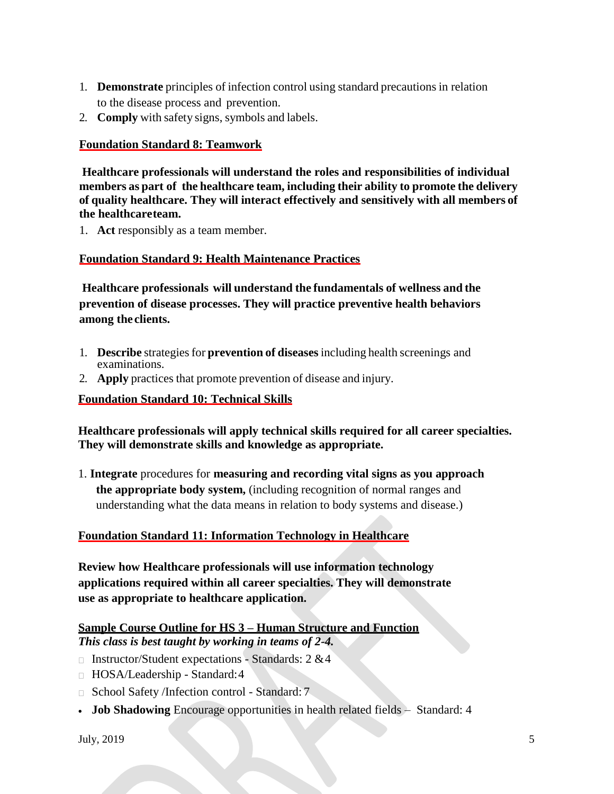- 1. **Demonstrate** principles of infection control using standard precautions in relation to the disease process and prevention.
- 2. **Comply** with safety signs, symbols and labels.

### **Foundation Standard 8: Teamwork**

**Healthcare professionals will understand the roles and responsibilities of individual members as part of the healthcare team, including their ability to promote the delivery of quality healthcare. They will interact effectively and sensitively with all members of the healthcareteam.**

1. **Act** responsibly as a team member.

### **Foundation Standard 9: Health Maintenance Practices**

**Healthcare professionals will understand the fundamentals of wellness and the prevention of disease processes. They will practice preventive health behaviors among the clients.**

- 1. **Describe** strategies for **prevention** of **diseases** including health screenings and examinations.
- 2. **Apply** practices that promote prevention of disease and injury.

**Foundation Standard 10: Technical Skills**

**Healthcare professionals will apply technical skills required for all career specialties. They will demonstrate skills and knowledge as appropriate.**

1. **Integrate** procedures for **measuring and recording vital signs as you approach the appropriate body system,** (including recognition of normal ranges and understanding what the data means in relation to body systems and disease.)

## **Foundation Standard 11: Information Technology in Healthcare**

**Review how Healthcare professionals will use information technology applications required within all career specialties. They will demonstrate use as appropriate to healthcare application.**

### **Sample Course Outline for HS 3 – Human Structure and Function**

*This class is best taught by working in teams of 2-4.*

- **Instructor/Student expectations Standards: 2 & 4**
- HOSA/Leadership Standard:4
- □ School Safety /Infection control Standard: 7
- **Job Shadowing** Encourage opportunities in health related fields Standard: 4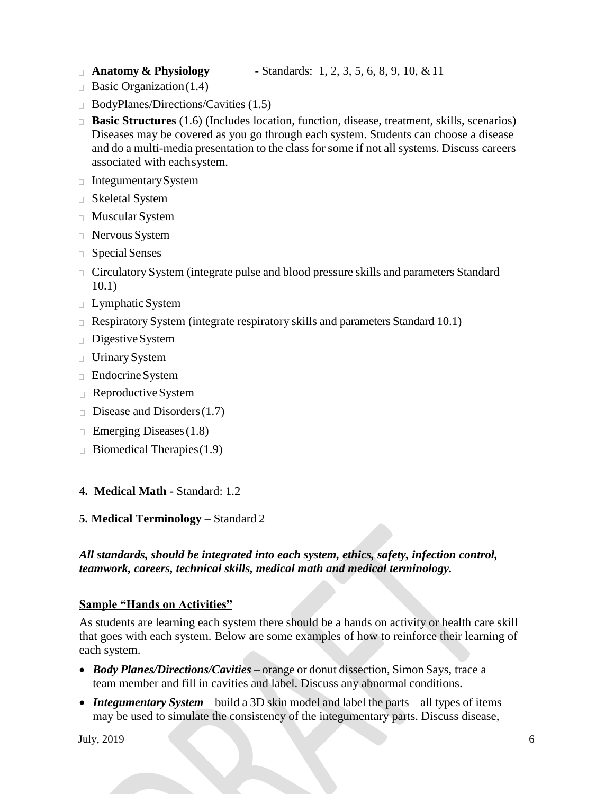- 
- **Anatomy & Physiology -** Standards: 1, 2, 3, 5, 6, 8, 9, 10, &11
- $\Box$  Basic Organization(1.4)
- BodyPlanes/Directions/Cavities (1.5)
- **Basic Structures** (1.6) (Includes location, function, disease, treatment, skills, scenarios) Diseases may be covered as you go through each system. Students can choose a disease and do a multi-media presentation to the class for some if not all systems. Discuss careers associated with eachsystem.
- $\Box$  Integumentary System
- Skeletal System
- **Muscular System**
- Nervous System
- Special Senses
- Circulatory System (integrate pulse and blood pressure skills and parameters Standard 10.1)
- $\Box$  Lymphatic System
- $\Box$  Respiratory System (integrate respiratory skills and parameters Standard 10.1)
- Digestive System
- **Urinary System**
- EndocrineSystem
- $\Box$  Reproductive System
- $\Box$  Disease and Disorders (1.7)
- $\Box$  Emerging Diseases (1.8)
- $\Box$  Biomedical Therapies (1.9)

## **4. Medical Math -** Standard: 1.2

## **5. Medical Terminology** – Standard 2

## *All standards, should be integrated into each system, ethics, safety, infection control, teamwork, careers, technical skills, medical math and medical terminology.*

### **Sample "Hands on Activities"**

As students are learning each system there should be a hands on activity or health care skill that goes with each system. Below are some examples of how to reinforce their learning of each system.

- *Body Planes/Directions/Cavities* orange or donut dissection, Simon Says, trace a team member and fill in cavities and label. Discuss any abnormal conditions.
- *Integumentary System* build a 3D skin model and label the parts all types of items may be used to simulate the consistency of the integumentary parts. Discuss disease,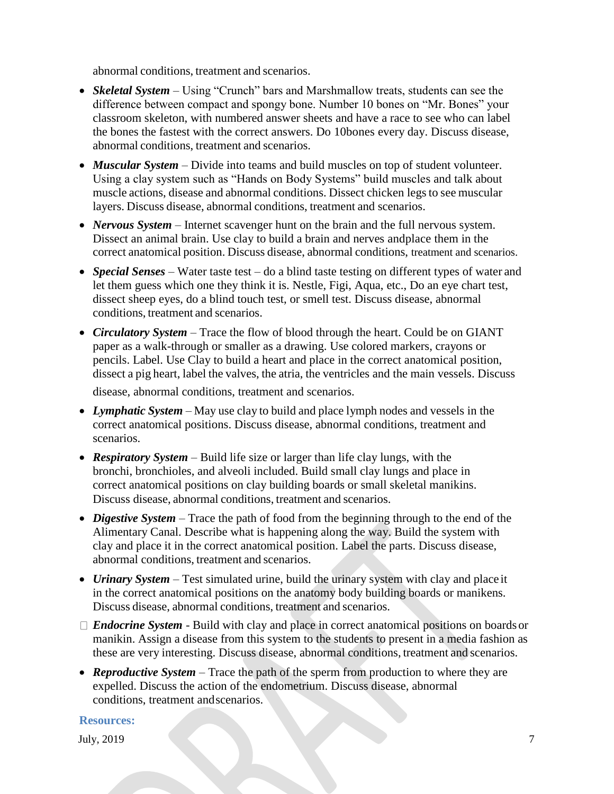abnormal conditions, treatment and scenarios.

- *Skeletal System* Using "Crunch" bars and Marshmallow treats, students can see the difference between compact and spongy bone. Number 10 bones on "Mr. Bones" your classroom skeleton, with numbered answer sheets and have a race to see who can label the bones the fastest with the correct answers. Do 10bones every day. Discuss disease, abnormal conditions, treatment and scenarios.
- *Muscular System* Divide into teams and build muscles on top of student volunteer. Using a clay system such as "Hands on Body Systems" build muscles and talk about muscle actions, disease and abnormal conditions. Dissect chicken legs to see muscular layers. Discuss disease, abnormal conditions, treatment and scenarios.
- *Nervous System*  Internet scavenger hunt on the brain and the full nervous system. Dissect an animal brain. Use clay to build a brain and nerves andplace them in the correct anatomical position. Discuss disease, abnormal conditions, treatment and scenarios.
- *Special Senses*  Water taste test do a blind taste testing on different types of water and let them guess which one they think it is. Nestle, Figi, Aqua, etc., Do an eye chart test, dissect sheep eyes, do a blind touch test, or smell test. Discuss disease, abnormal conditions, treatment and scenarios.
- *Circulatory System* Trace the flow of blood through the heart. Could be on GIANT paper as a walk-through or smaller as a drawing. Use colored markers, crayons or pencils. Label. Use Clay to build a heart and place in the correct anatomical position, dissect a pig heart, label the valves, the atria, the ventricles and the main vessels. Discuss disease, abnormal conditions, treatment and scenarios.
- *Lymphatic System* May use clay to build and place lymph nodes and vessels in the correct anatomical positions. Discuss disease, abnormal conditions, treatment and scenarios.
- **Respiratory System** Build life size or larger than life clay lungs, with the bronchi, bronchioles, and alveoli included. Build small clay lungs and place in correct anatomical positions on clay building boards or small skeletal manikins. Discuss disease, abnormal conditions, treatment and scenarios.
- *Digestive System* Trace the path of food from the beginning through to the end of the Alimentary Canal. Describe what is happening along the way. Build the system with clay and place it in the correct anatomical position. Label the parts. Discuss disease, abnormal conditions, treatment and scenarios.
- *Urinary System* Test simulated urine, build the urinary system with clay and place it in the correct anatomical positions on the anatomy body building boards or manikens. Discuss disease, abnormal conditions, treatment and scenarios.
- *Endocrine System*  Build with clay and place in correct anatomical positions on boards or manikin. Assign a disease from this system to the students to present in a media fashion as these are very interesting. Discuss disease, abnormal conditions, treatment and scenarios.
- **Reproductive System** Trace the path of the sperm from production to where they are expelled. Discuss the action of the endometrium. Discuss disease, abnormal conditions, treatment andscenarios.

### **Resources:**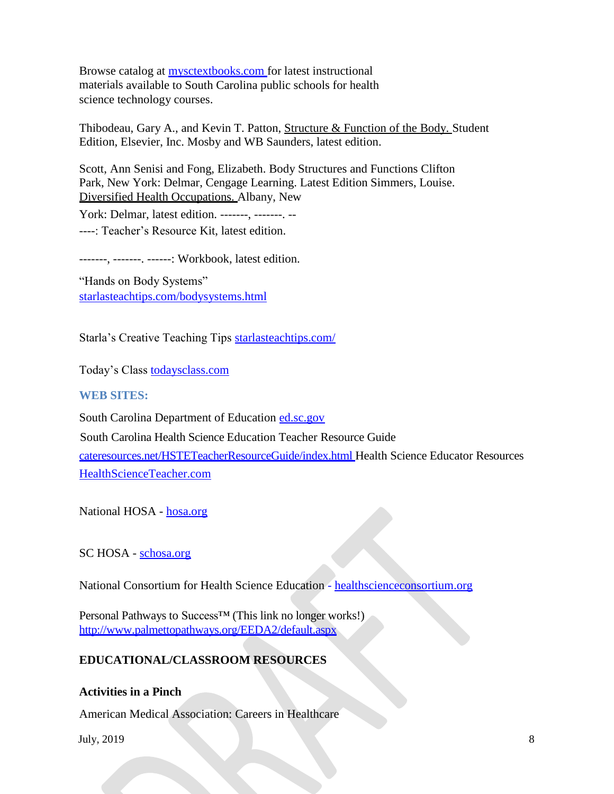Browse catalog at mysctextbooks.com for latest instructional materials available to South Carolina public schools for health science technology courses.

Thibodeau, Gary A., and Kevin T. Patton, Structure & Function of the Body. Student Edition, Elsevier, Inc. Mosby and WB Saunders, latest edition.

Scott, Ann Senisi and Fong, Elizabeth. Body Structures and Functions Clifton Park, New York: Delmar, Cengage Learning. Latest Edition Simmers, Louise. Diversified Health Occupations. Albany, New

York: Delmar, latest edition. -------, -------. --

----: Teacher's Resource Kit, latest edition.

-------, -------. ------: Workbook, latest edition.

"Hands on Body Systems" [starlasteachtips.com/bodysystems.html](http://www.starlasteachtips.com/bodysystems.html)

Starla's Creative Teaching Tips [starlasteachtips.com/](http://www.starlasteachtips.com/)

Today's Class [todaysclass.com](http://www.todaysclass.com/)

**WEB SITES:**

South Carolina Department of Education [ed.sc.gov](http://www.ed.sc.gov/)

South Carolina Health Science Education Teacher Resource Guide

[cateresources.net/HSTETeacherResourceGuide/index.html H](http://www.cateresources.net/HSTETeacherResourceGuide/index.html)ealth Science Educator Resources [HealthScienceTeacher.com](http://www.healthscienceteacher.com/)

National HOSA - [hosa.org](http://www.hosa.org/)

SC HOSA - [schosa.org](http://www.schosa.org/)

National Consortium for Health Science Education - [healthscienceconsortium.org](http://www.healthscienceconsortium.org/)

Personal Pathways to Success<sup>™</sup> (This link no longer works!) <http://www.palmettopathways.org/EEDA2/default.aspx>

## **EDUCATIONAL/CLASSROOM RESOURCES**

### **Activities in a Pinch**

American Medical Association: Careers in Healthcare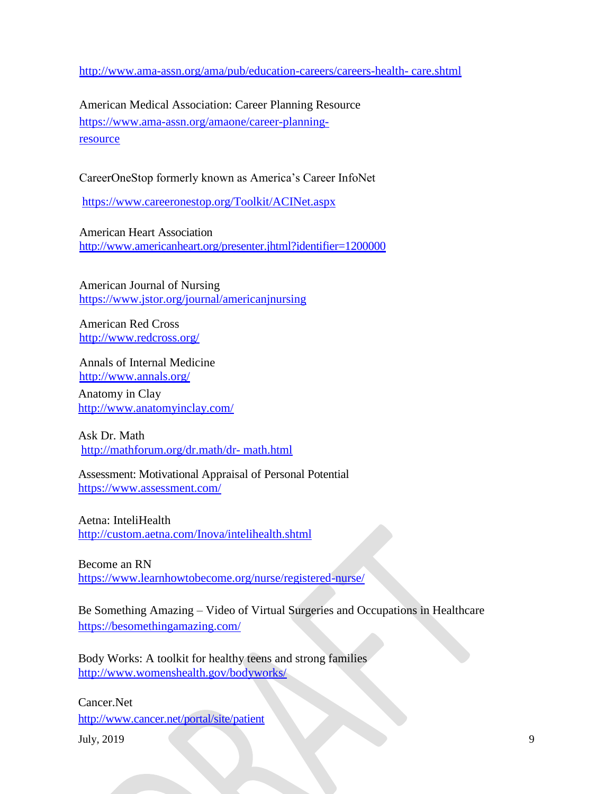[http://www.ama-assn.org/ama/pub/education-careers/careers-health-](http://www.ama-assn.org/ama/pub/education-careers/careers-health-care.shtml) [care.shtml](http://www.ama-assn.org/ama/pub/education-careers/careers-health-care.shtml)

American Medical Association: Career Planning Resource [https://www.ama-assn.org/amaone/career-planning](https://www.ama-assn.org/amaone/career-planning-resource)[resource](https://www.ama-assn.org/amaone/career-planning-resource)

CareerOneStop formerly known as America's Career InfoNet

<https://www.careeronestop.org/Toolkit/ACINet.aspx>

American Heart Association <http://www.americanheart.org/presenter.jhtml?identifier=1200000>

American Journal of Nursing <https://www.jstor.org/journal/americanjnursing>

American Red Cross <http://www.redcross.org/>

Annals of Internal Medicine <http://www.annals.org/> Anatomy in Clay <http://www.anatomyinclay.com/>

Ask Dr. Math [http://mathforum.org/dr.math/dr-](http://mathforum.org/dr.math/dr-math.html) [math.html](http://mathforum.org/dr.math/dr-math.html)

Assessment: Motivational Appraisal of Personal Potential <https://www.assessment.com/>

Aetna: InteliHealth <http://custom.aetna.com/Inova/intelihealth.shtml>

Become an RN <https://www.learnhowtobecome.org/nurse/registered-nurse/>

Be Something Amazing – Video of Virtual Surgeries and Occupations in Healthcare <https://besomethingamazing.com/>

Body Works: A toolkit for healthy teens and strong families <http://www.womenshealth.gov/bodyworks/>

Cancer.Net <http://www.cancer.net/portal/site/patient>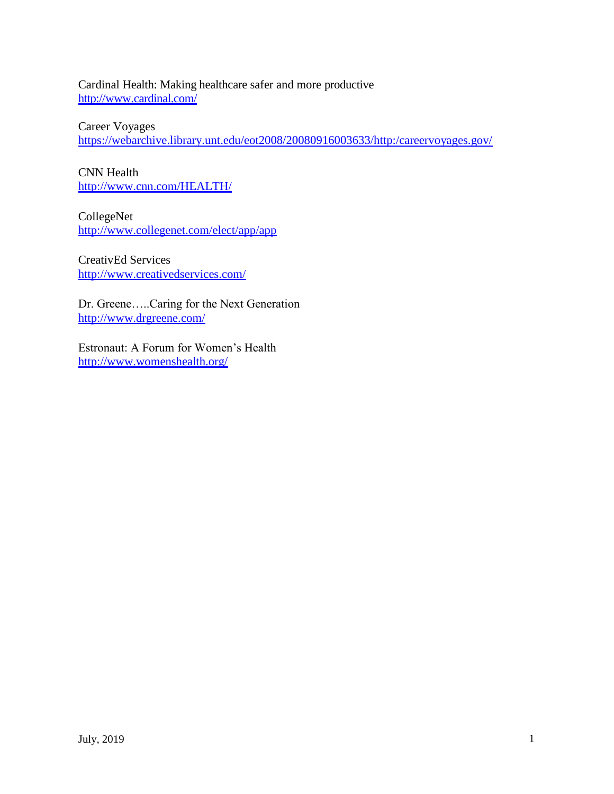Cardinal Health: Making healthcare safer and more productive <http://www.cardinal.com/>

Career Voyages https://webarchive.library.unt.edu/eot2008/20080916003633/http:/careervoyages.gov/

CNN Health <http://www.cnn.com/HEALTH/>

CollegeNet <http://www.collegenet.com/elect/app/app>

CreativEd Services <http://www.creativedservices.com/>

Dr. Greene…..Caring for the Next Generation <http://www.drgreene.com/>

Estronaut: A Forum for Women's Health <http://www.womenshealth.org/>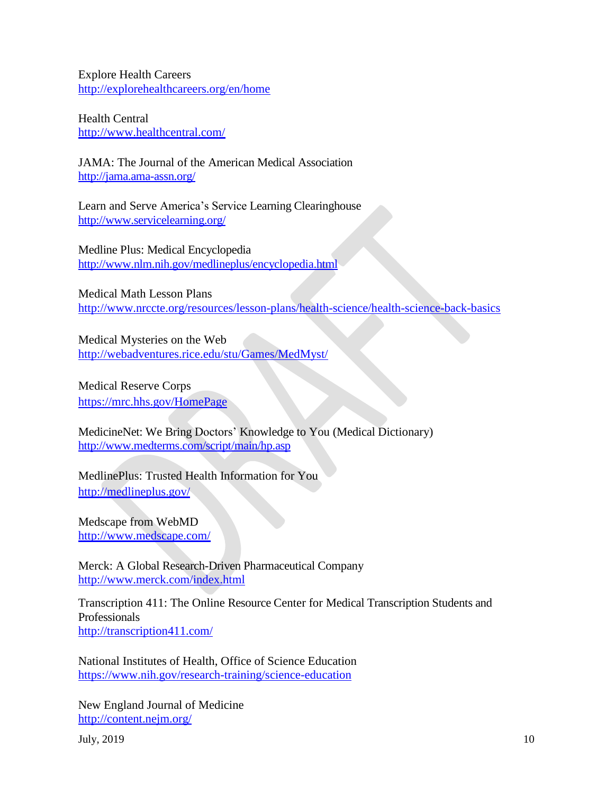Explore Health Careers <http://explorehealthcareers.org/en/home>

Health Central <http://www.healthcentral.com/>

JAMA: The Journal of the American Medical Association <http://jama.ama-assn.org/>

Learn and Serve America's Service Learning Clearinghouse <http://www.servicelearning.org/>

Medline Plus: Medical Encyclopedia <http://www.nlm.nih.gov/medlineplus/encyclopedia.html>

Medical Math Lesson Plans <http://www.nrccte.org/resources/lesson-plans/health-science/health-science-back-basics>

Medical Mysteries on the Web <http://webadventures.rice.edu/stu/Games/MedMyst/>

Medical Reserve Corps <https://mrc.hhs.gov/HomePage>

MedicineNet: We Bring Doctors' Knowledge to You (Medical Dictionary) <http://www.medterms.com/script/main/hp.asp>

MedlinePlus: Trusted Health Information for You <http://medlineplus.gov/>

Medscape from WebMD <http://www.medscape.com/>

Merck: A Global Research-Driven Pharmaceutical Company <http://www.merck.com/index.html>

Transcription 411: The Online Resource Center for Medical Transcription Students and Professionals <http://transcription411.com/>

National Institutes of Health, Office of Science Education <https://www.nih.gov/research-training/science-education>

New England Journal of Medicine <http://content.nejm.org/>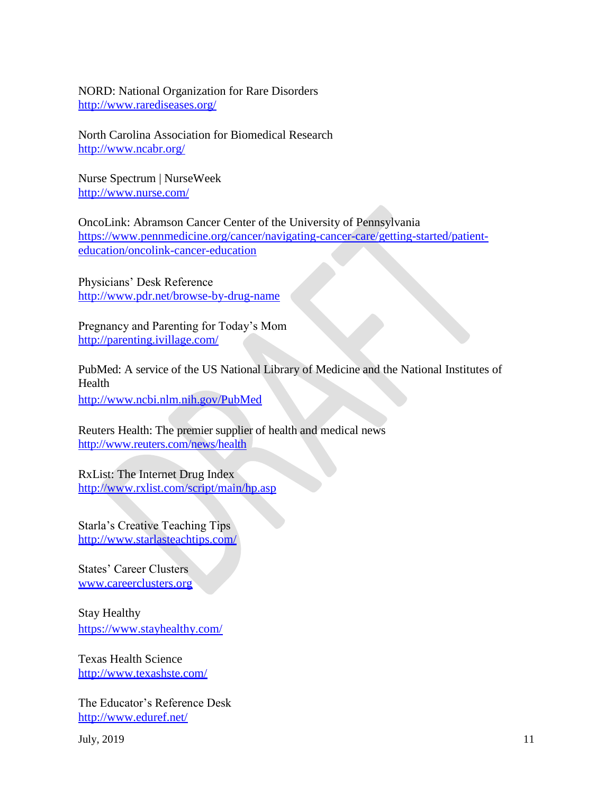NORD: National Organization for Rare Disorders <http://www.rarediseases.org/>

North Carolina Association for Biomedical Research <http://www.ncabr.org/>

Nurse Spectrum | NurseWeek <http://www.nurse.com/>

OncoLink: Abramson Cancer Center of the University of Pennsylvania [https://www.pennmedicine.org/cancer/navigating-cancer-care/getting-started/patient](https://www.pennmedicine.org/cancer/navigating-cancer-care/getting-started/patient-education/oncolink-cancer-education)[education/oncolink-cancer-education](https://www.pennmedicine.org/cancer/navigating-cancer-care/getting-started/patient-education/oncolink-cancer-education)

Physicians' Desk Reference <http://www.pdr.net/browse-by-drug-name>

Pregnancy and Parenting for Today's Mom <http://parenting.ivillage.com/>

PubMed: A service of the US National Library of Medicine and the National Institutes of Health

<http://www.ncbi.nlm.nih.gov/PubMed>

Reuters Health: The premier supplier of health and medical news <http://www.reuters.com/news/health>

RxList: The Internet Drug Index <http://www.rxlist.com/script/main/hp.asp>

Starla's Creative Teaching Tips <http://www.starlasteachtips.com/>

States' Career Clusters [www.careerclusters.org](http://www.careerclusters.org/)

Stay Healthy http[s://ww](http://www.stayhealthy.com/)w[.stayhealthy.com/](http://www.stayhealthy.com/)

Texas Health Science <http://www.texashste.com/>

The Educator's Reference Desk <http://www.eduref.net/>